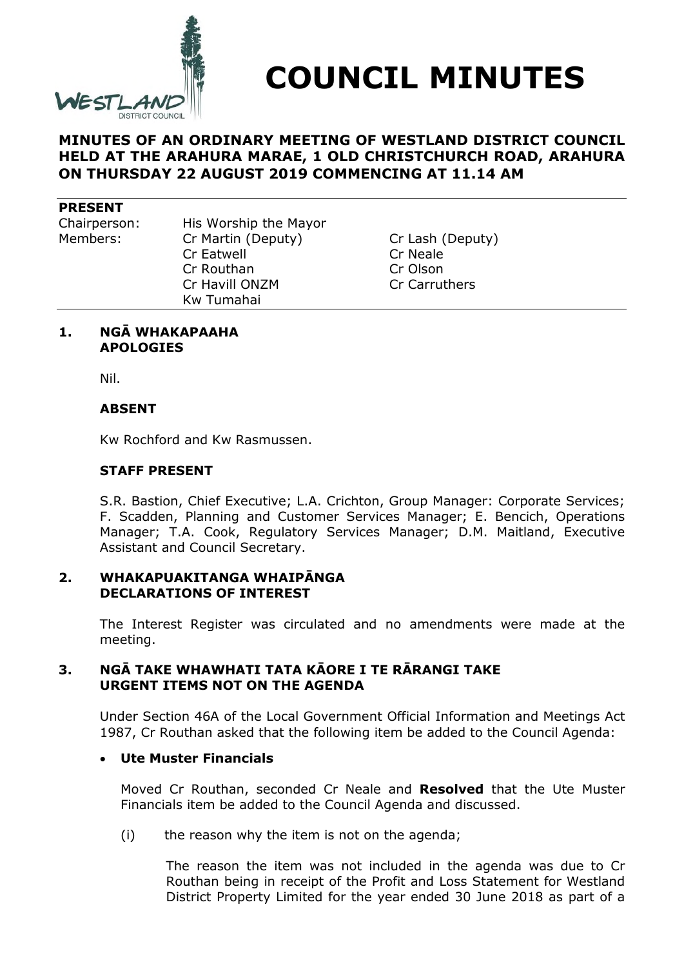

**COUNCIL MINUTES**

# **MINUTES OF AN ORDINARY MEETING OF WESTLAND DISTRICT COUNCIL HELD AT THE ARAHURA MARAE, 1 OLD CHRISTCHURCH ROAD, ARAHURA ON THURSDAY 22 AUGUST 2019 COMMENCING AT 11.14 AM**

#### **PRESENT**

Chairperson: His Worship the Mayor Members: Cr Martin (Deputy) Cr Lash (Deputy) Cr Eatwell Cr Neale Cr Routhan Cr Olson Cr Havill ONZM Cr Carruthers Kw Tumahai

### **1. NGĀ WHAKAPAAHA APOLOGIES**

Nil.

# **ABSENT**

Kw Rochford and Kw Rasmussen.

### **STAFF PRESENT**

S.R. Bastion, Chief Executive; L.A. Crichton, Group Manager: Corporate Services; F. Scadden, Planning and Customer Services Manager; E. Bencich, Operations Manager; T.A. Cook, Regulatory Services Manager; D.M. Maitland, Executive Assistant and Council Secretary.

# **2. WHAKAPUAKITANGA WHAIPĀNGA DECLARATIONS OF INTEREST**

The Interest Register was circulated and no amendments were made at the meeting.

# **3. NGĀ TAKE WHAWHATI TATA KĀORE I TE RĀRANGI TAKE URGENT ITEMS NOT ON THE AGENDA**

Under Section 46A of the Local Government Official Information and Meetings Act 1987, Cr Routhan asked that the following item be added to the Council Agenda:

### **Ute Muster Financials**

Moved Cr Routhan, seconded Cr Neale and **Resolved** that the Ute Muster Financials item be added to the Council Agenda and discussed.

(i) the reason why the item is not on the agenda;

The reason the item was not included in the agenda was due to Cr Routhan being in receipt of the Profit and Loss Statement for Westland District Property Limited for the year ended 30 June 2018 as part of a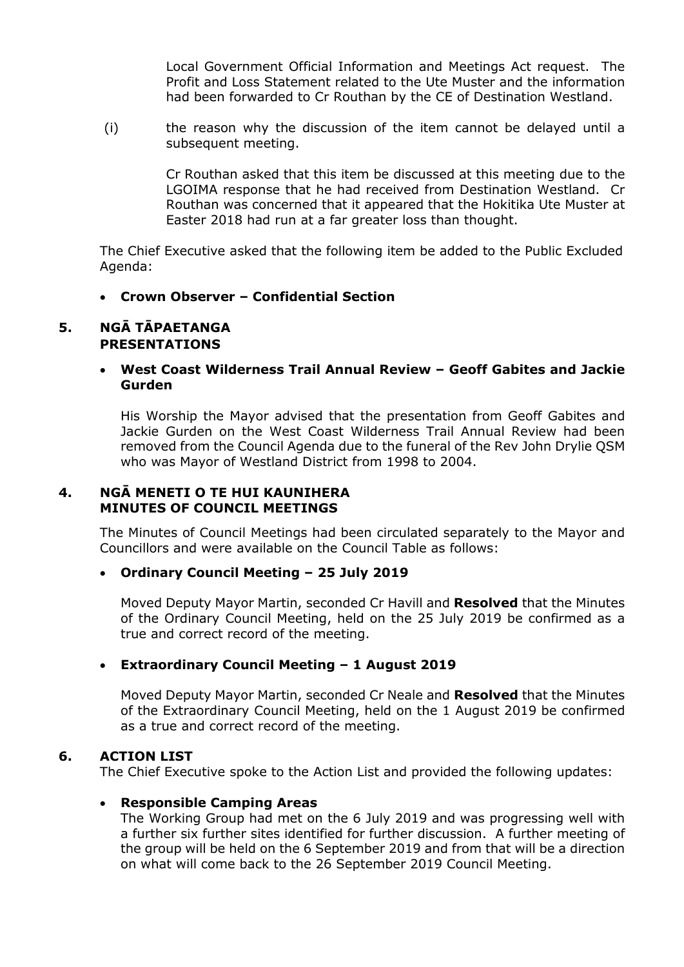Local Government Official Information and Meetings Act request. The Profit and Loss Statement related to the Ute Muster and the information had been forwarded to Cr Routhan by the CE of Destination Westland.

(i) the reason why the discussion of the item cannot be delayed until a subsequent meeting.

> Cr Routhan asked that this item be discussed at this meeting due to the LGOIMA response that he had received from Destination Westland. Cr Routhan was concerned that it appeared that the Hokitika Ute Muster at Easter 2018 had run at a far greater loss than thought.

The Chief Executive asked that the following item be added to the Public Excluded Agenda:

**Crown Observer – Confidential Section**

# **5. NGĀ TĀPAETANGA PRESENTATIONS**

 **West Coast Wilderness Trail Annual Review – Geoff Gabites and Jackie Gurden**

His Worship the Mayor advised that the presentation from Geoff Gabites and Jackie Gurden on the West Coast Wilderness Trail Annual Review had been removed from the Council Agenda due to the funeral of the Rev John Drylie QSM who was Mayor of Westland District from 1998 to 2004.

# **4. NGĀ MENETI O TE HUI KAUNIHERA MINUTES OF COUNCIL MEETINGS**

The Minutes of Council Meetings had been circulated separately to the Mayor and Councillors and were available on the Council Table as follows:

### **Ordinary Council Meeting – 25 July 2019**

Moved Deputy Mayor Martin, seconded Cr Havill and **Resolved** that the Minutes of the Ordinary Council Meeting, held on the 25 July 2019 be confirmed as a true and correct record of the meeting.

### **Extraordinary Council Meeting – 1 August 2019**

Moved Deputy Mayor Martin, seconded Cr Neale and **Resolved** that the Minutes of the Extraordinary Council Meeting, held on the 1 August 2019 be confirmed as a true and correct record of the meeting.

### **6. ACTION LIST**

The Chief Executive spoke to the Action List and provided the following updates:

### **Responsible Camping Areas**

The Working Group had met on the 6 July 2019 and was progressing well with a further six further sites identified for further discussion. A further meeting of the group will be held on the 6 September 2019 and from that will be a direction on what will come back to the 26 September 2019 Council Meeting.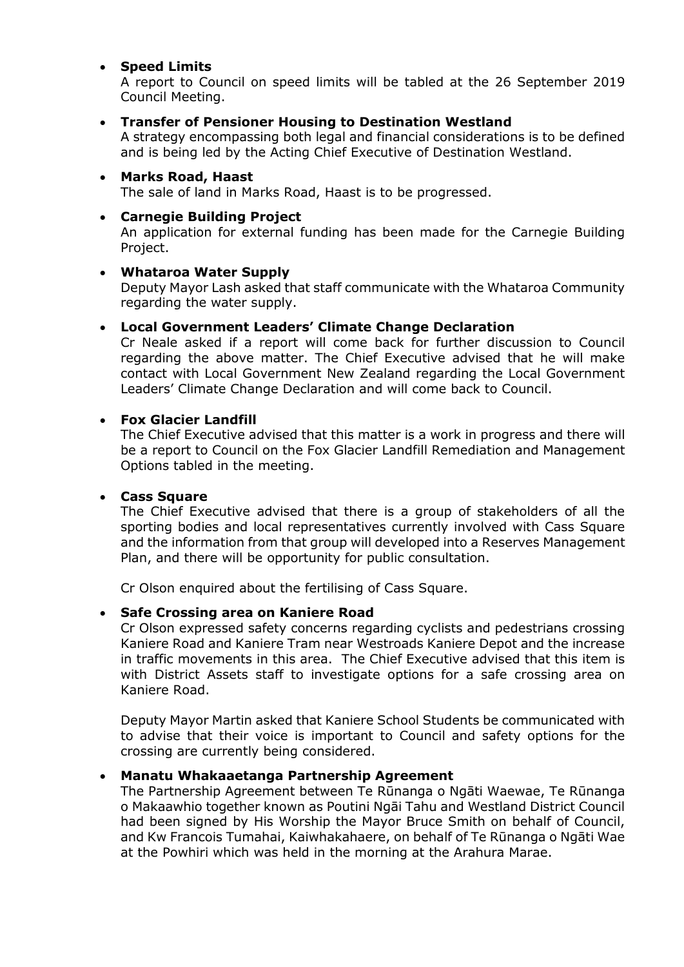# **Speed Limits**

A report to Council on speed limits will be tabled at the 26 September 2019 Council Meeting.

# **Transfer of Pensioner Housing to Destination Westland**

A strategy encompassing both legal and financial considerations is to be defined and is being led by the Acting Chief Executive of Destination Westland.

 **Marks Road, Haast** The sale of land in Marks Road, Haast is to be progressed.

#### **Carnegie Building Project** An application for external funding has been made for the Carnegie Building Project.

### **Whataroa Water Supply**

Deputy Mayor Lash asked that staff communicate with the Whataroa Community regarding the water supply.

# **Local Government Leaders' Climate Change Declaration**

Cr Neale asked if a report will come back for further discussion to Council regarding the above matter. The Chief Executive advised that he will make contact with Local Government New Zealand regarding the Local Government Leaders' Climate Change Declaration and will come back to Council.

# **Fox Glacier Landfill**

The Chief Executive advised that this matter is a work in progress and there will be a report to Council on the Fox Glacier Landfill Remediation and Management Options tabled in the meeting.

### **Cass Square**

The Chief Executive advised that there is a group of stakeholders of all the sporting bodies and local representatives currently involved with Cass Square and the information from that group will developed into a Reserves Management Plan, and there will be opportunity for public consultation.

Cr Olson enquired about the fertilising of Cass Square.

# **Safe Crossing area on Kaniere Road**

Cr Olson expressed safety concerns regarding cyclists and pedestrians crossing Kaniere Road and Kaniere Tram near Westroads Kaniere Depot and the increase in traffic movements in this area. The Chief Executive advised that this item is with District Assets staff to investigate options for a safe crossing area on Kaniere Road.

Deputy Mayor Martin asked that Kaniere School Students be communicated with to advise that their voice is important to Council and safety options for the crossing are currently being considered.

# **Manatu Whakaaetanga Partnership Agreement**

The Partnership Agreement between Te Rūnanga o Ngāti Waewae, Te Rūnanga o Makaawhio together known as Poutini Ngāi Tahu and Westland District Council had been signed by His Worship the Mayor Bruce Smith on behalf of Council, and Kw Francois Tumahai, Kaiwhakahaere, on behalf of Te Rūnanga o Ngāti Wae at the Powhiri which was held in the morning at the Arahura Marae.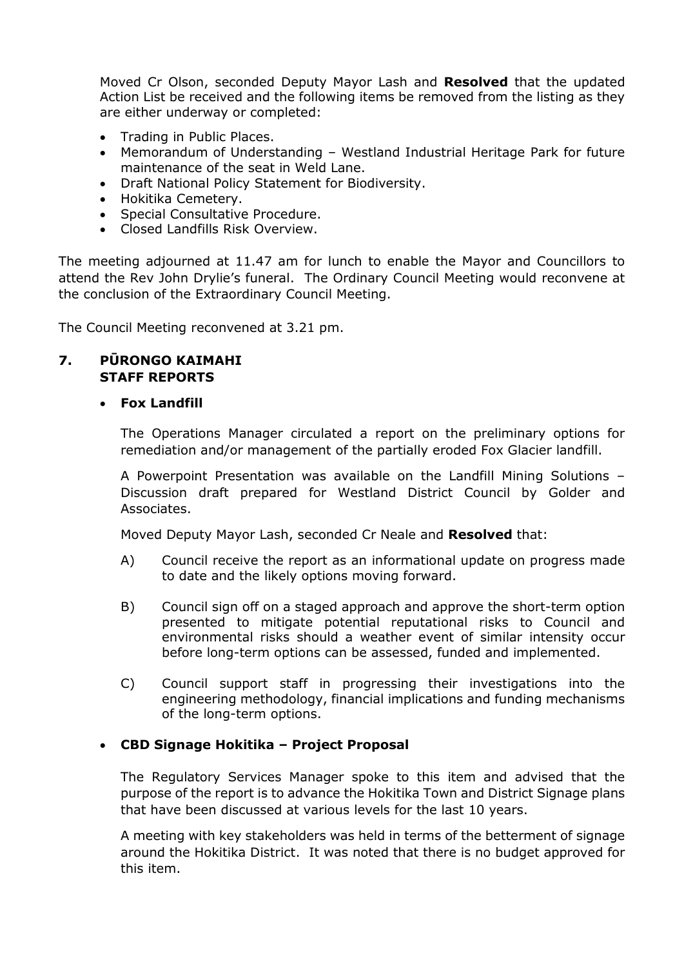Moved Cr Olson, seconded Deputy Mayor Lash and **Resolved** that the updated Action List be received and the following items be removed from the listing as they are either underway or completed:

- Trading in Public Places.
- Memorandum of Understanding Westland Industrial Heritage Park for future maintenance of the seat in Weld Lane.
- Draft National Policy Statement for Biodiversity.
- Hokitika Cemetery.
- Special Consultative Procedure.
- Closed Landfills Risk Overview.

The meeting adjourned at 11.47 am for lunch to enable the Mayor and Councillors to attend the Rev John Drylie's funeral. The Ordinary Council Meeting would reconvene at the conclusion of the Extraordinary Council Meeting.

The Council Meeting reconvened at 3.21 pm.

# **7. PŪRONGO KAIMAHI STAFF REPORTS**

# **Fox Landfill**

The Operations Manager circulated a report on the preliminary options for remediation and/or management of the partially eroded Fox Glacier landfill.

A Powerpoint Presentation was available on the Landfill Mining Solutions – Discussion draft prepared for Westland District Council by Golder and Associates.

Moved Deputy Mayor Lash, seconded Cr Neale and **Resolved** that:

- A) Council receive the report as an informational update on progress made to date and the likely options moving forward.
- B) Council sign off on a staged approach and approve the short-term option presented to mitigate potential reputational risks to Council and environmental risks should a weather event of similar intensity occur before long-term options can be assessed, funded and implemented.
- C) Council support staff in progressing their investigations into the engineering methodology, financial implications and funding mechanisms of the long-term options.

# **CBD Signage Hokitika – Project Proposal**

The Regulatory Services Manager spoke to this item and advised that the purpose of the report is to advance the Hokitika Town and District Signage plans that have been discussed at various levels for the last 10 years.

A meeting with key stakeholders was held in terms of the betterment of signage around the Hokitika District. It was noted that there is no budget approved for this item.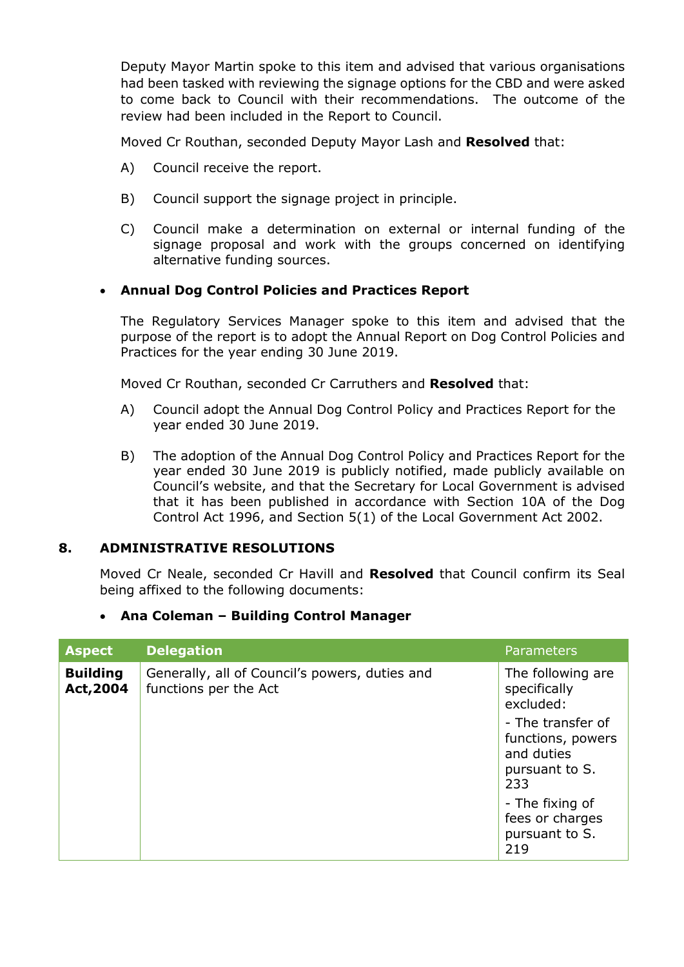Deputy Mayor Martin spoke to this item and advised that various organisations had been tasked with reviewing the signage options for the CBD and were asked to come back to Council with their recommendations. The outcome of the review had been included in the Report to Council.

Moved Cr Routhan, seconded Deputy Mayor Lash and **Resolved** that:

- A) Council receive the report.
- B) Council support the signage project in principle.
- C) Council make a determination on external or internal funding of the signage proposal and work with the groups concerned on identifying alternative funding sources.

# **Annual Dog Control Policies and Practices Report**

The Regulatory Services Manager spoke to this item and advised that the purpose of the report is to adopt the Annual Report on Dog Control Policies and Practices for the year ending 30 June 2019.

Moved Cr Routhan, seconded Cr Carruthers and **Resolved** that:

- A) Council adopt the Annual Dog Control Policy and Practices Report for the year ended 30 June 2019.
- B) The adoption of the Annual Dog Control Policy and Practices Report for the year ended 30 June 2019 is publicly notified, made publicly available on Council's website, and that the Secretary for Local Government is advised that it has been published in accordance with Section 10A of the Dog Control Act 1996, and Section 5(1) of the Local Government Act 2002.

### **8. ADMINISTRATIVE RESOLUTIONS**

Moved Cr Neale, seconded Cr Havill and **Resolved** that Council confirm its Seal being affixed to the following documents:

### **Ana Coleman – Building Control Manager**

| <b>Aspect</b>                | <b>Delegation</b>                                                       | <b>Parameters</b>                                                                                                               |
|------------------------------|-------------------------------------------------------------------------|---------------------------------------------------------------------------------------------------------------------------------|
| <b>Building</b><br>Act, 2004 | Generally, all of Council's powers, duties and<br>functions per the Act | The following are<br>specifically<br>excluded:<br>- The transfer of<br>functions, powers<br>and duties<br>pursuant to S.<br>233 |
|                              |                                                                         | - The fixing of<br>fees or charges<br>pursuant to S.<br>219                                                                     |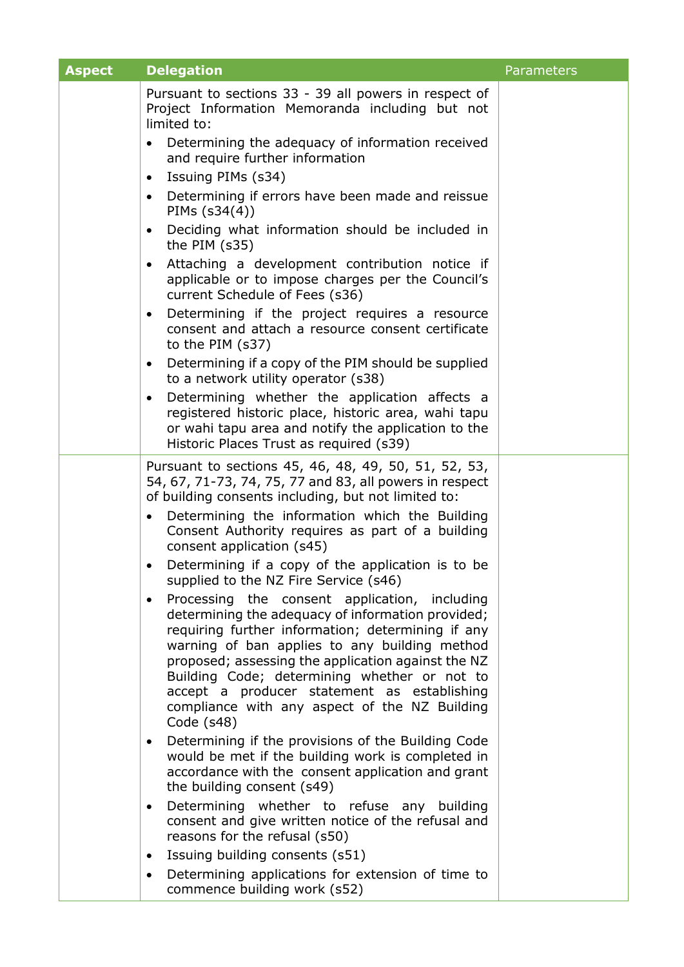| <b>Aspect</b> | <b>Delegation</b>                                                                                                                                                                                                                                                                                                                                                                                                                         | Parameters |
|---------------|-------------------------------------------------------------------------------------------------------------------------------------------------------------------------------------------------------------------------------------------------------------------------------------------------------------------------------------------------------------------------------------------------------------------------------------------|------------|
|               | Pursuant to sections 33 - 39 all powers in respect of<br>Project Information Memoranda including but not<br>limited to:                                                                                                                                                                                                                                                                                                                   |            |
|               | Determining the adequacy of information received<br>$\bullet$<br>and require further information                                                                                                                                                                                                                                                                                                                                          |            |
|               | Issuing PIMs (s34)<br>$\bullet$                                                                                                                                                                                                                                                                                                                                                                                                           |            |
|               | Determining if errors have been made and reissue<br>$\bullet$<br>PIMs $(s34(4))$                                                                                                                                                                                                                                                                                                                                                          |            |
|               | Deciding what information should be included in<br>$\bullet$<br>the PIM $(s35)$                                                                                                                                                                                                                                                                                                                                                           |            |
|               | Attaching a development contribution notice if<br>٠<br>applicable or to impose charges per the Council's<br>current Schedule of Fees (s36)                                                                                                                                                                                                                                                                                                |            |
|               | Determining if the project requires a resource<br>$\bullet$<br>consent and attach a resource consent certificate<br>to the PIM (s37)                                                                                                                                                                                                                                                                                                      |            |
|               | Determining if a copy of the PIM should be supplied<br>$\bullet$<br>to a network utility operator (s38)                                                                                                                                                                                                                                                                                                                                   |            |
|               | Determining whether the application affects a<br>$\bullet$<br>registered historic place, historic area, wahi tapu<br>or wahi tapu area and notify the application to the<br>Historic Places Trust as required (s39)                                                                                                                                                                                                                       |            |
|               | Pursuant to sections 45, 46, 48, 49, 50, 51, 52, 53,<br>54, 67, 71-73, 74, 75, 77 and 83, all powers in respect<br>of building consents including, but not limited to:                                                                                                                                                                                                                                                                    |            |
|               | Determining the information which the Building<br>$\bullet$<br>Consent Authority requires as part of a building<br>consent application (s45)                                                                                                                                                                                                                                                                                              |            |
|               | Determining if a copy of the application is to be<br>supplied to the NZ Fire Service (s46)                                                                                                                                                                                                                                                                                                                                                |            |
|               | Processing the consent application, including<br>$\bullet$<br>determining the adequacy of information provided;<br>requiring further information; determining if any<br>warning of ban applies to any building method<br>proposed; assessing the application against the NZ<br>Building Code; determining whether or not to<br>accept a producer statement as establishing<br>compliance with any aspect of the NZ Building<br>Code (s48) |            |
|               | Determining if the provisions of the Building Code<br>$\bullet$<br>would be met if the building work is completed in<br>accordance with the consent application and grant<br>the building consent (s49)                                                                                                                                                                                                                                   |            |
|               | Determining whether to refuse any building<br>$\bullet$<br>consent and give written notice of the refusal and<br>reasons for the refusal (s50)                                                                                                                                                                                                                                                                                            |            |
|               | Issuing building consents (s51)<br>$\bullet$                                                                                                                                                                                                                                                                                                                                                                                              |            |
|               | Determining applications for extension of time to<br>$\bullet$<br>commence building work (s52)                                                                                                                                                                                                                                                                                                                                            |            |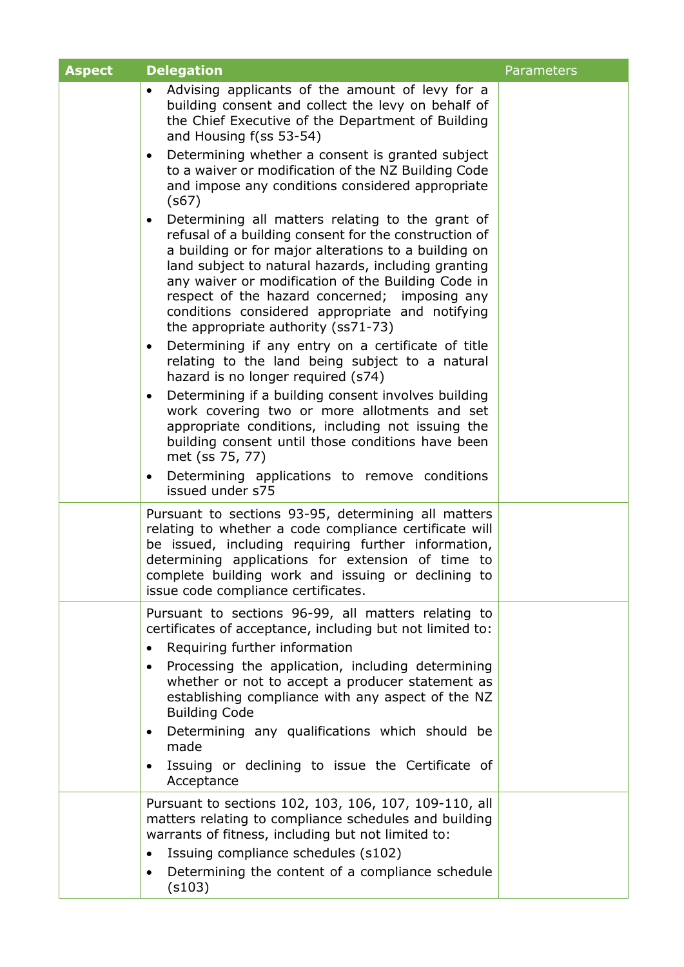| <b>Aspect</b> | <b>Delegation</b>                                                                                                                                                                                                                                                                                                                                                                                                                      | <b>Parameters</b> |
|---------------|----------------------------------------------------------------------------------------------------------------------------------------------------------------------------------------------------------------------------------------------------------------------------------------------------------------------------------------------------------------------------------------------------------------------------------------|-------------------|
|               | Advising applicants of the amount of levy for a<br>building consent and collect the levy on behalf of<br>the Chief Executive of the Department of Building<br>and Housing f(ss 53-54)                                                                                                                                                                                                                                                  |                   |
|               | Determining whether a consent is granted subject<br>$\bullet$<br>to a waiver or modification of the NZ Building Code<br>and impose any conditions considered appropriate<br>(s67)                                                                                                                                                                                                                                                      |                   |
|               | Determining all matters relating to the grant of<br>$\bullet$<br>refusal of a building consent for the construction of<br>a building or for major alterations to a building on<br>land subject to natural hazards, including granting<br>any waiver or modification of the Building Code in<br>respect of the hazard concerned; imposing any<br>conditions considered appropriate and notifying<br>the appropriate authority (ss71-73) |                   |
|               | Determining if any entry on a certificate of title<br>$\bullet$<br>relating to the land being subject to a natural<br>hazard is no longer required (s74)                                                                                                                                                                                                                                                                               |                   |
|               | Determining if a building consent involves building<br>$\bullet$<br>work covering two or more allotments and set<br>appropriate conditions, including not issuing the<br>building consent until those conditions have been<br>met (ss 75, 77)                                                                                                                                                                                          |                   |
|               | Determining applications to remove conditions<br>issued under s75                                                                                                                                                                                                                                                                                                                                                                      |                   |
|               | Pursuant to sections 93-95, determining all matters<br>relating to whether a code compliance certificate will<br>be issued, including requiring further information,<br>determining applications for extension of time to<br>complete building work and issuing or declining to<br>issue code compliance certificates.                                                                                                                 |                   |
|               | Pursuant to sections 96-99, all matters relating to<br>certificates of acceptance, including but not limited to:                                                                                                                                                                                                                                                                                                                       |                   |
|               | Requiring further information                                                                                                                                                                                                                                                                                                                                                                                                          |                   |
|               | Processing the application, including determining<br>$\bullet$<br>whether or not to accept a producer statement as<br>establishing compliance with any aspect of the NZ<br><b>Building Code</b>                                                                                                                                                                                                                                        |                   |
|               | Determining any qualifications which should be<br>$\bullet$<br>made                                                                                                                                                                                                                                                                                                                                                                    |                   |
|               | Issuing or declining to issue the Certificate of<br>Acceptance                                                                                                                                                                                                                                                                                                                                                                         |                   |
|               | Pursuant to sections 102, 103, 106, 107, 109-110, all<br>matters relating to compliance schedules and building<br>warrants of fitness, including but not limited to:<br>Issuing compliance schedules (s102)<br>Determining the content of a compliance schedule<br>$\bullet$<br>(s103)                                                                                                                                                 |                   |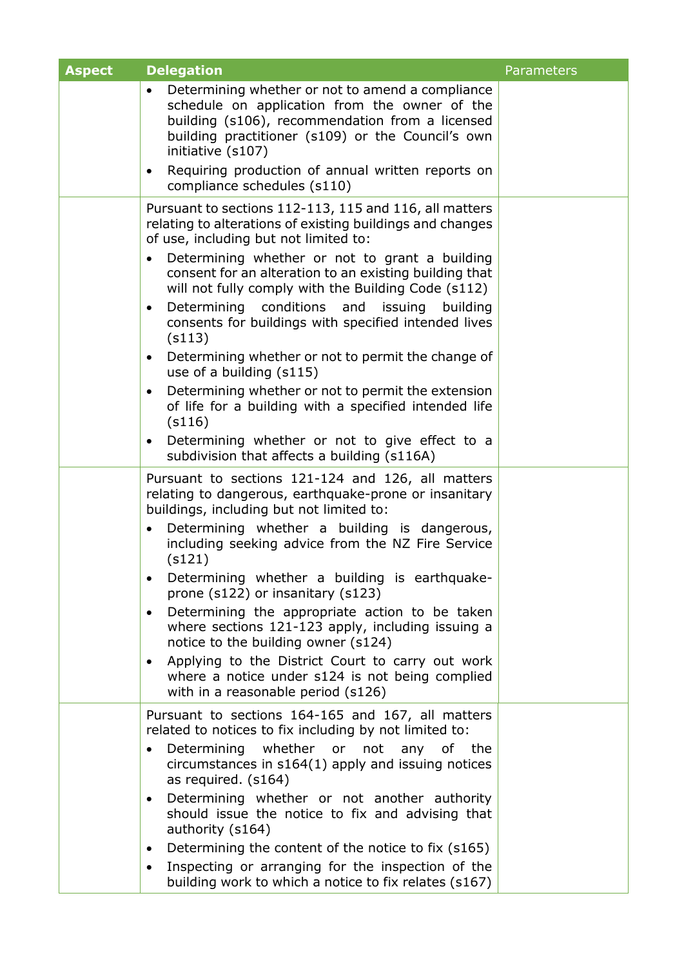| <b>Aspect</b> | <b>Delegation</b>                                                                                                                                                                                                                                                                     | Parameters |
|---------------|---------------------------------------------------------------------------------------------------------------------------------------------------------------------------------------------------------------------------------------------------------------------------------------|------------|
|               | Determining whether or not to amend a compliance<br>schedule on application from the owner of the<br>building (s106), recommendation from a licensed<br>building practitioner (s109) or the Council's own<br>initiative (s107)                                                        |            |
|               | Requiring production of annual written reports on<br>$\bullet$<br>compliance schedules (s110)                                                                                                                                                                                         |            |
|               | Pursuant to sections 112-113, 115 and 116, all matters<br>relating to alterations of existing buildings and changes<br>of use, including but not limited to:<br>Determining whether or not to grant a building<br>$\bullet$<br>consent for an alteration to an existing building that |            |
|               | will not fully comply with the Building Code (s112)<br>Determining conditions and issuing building<br>$\bullet$<br>consents for buildings with specified intended lives<br>(s113)                                                                                                     |            |
|               | Determining whether or not to permit the change of<br>$\bullet$<br>use of a building (s115)                                                                                                                                                                                           |            |
|               | Determining whether or not to permit the extension<br>$\bullet$<br>of life for a building with a specified intended life<br>(s116)                                                                                                                                                    |            |
|               | Determining whether or not to give effect to a<br>subdivision that affects a building (s116A)                                                                                                                                                                                         |            |
|               | Pursuant to sections 121-124 and 126, all matters<br>relating to dangerous, earthquake-prone or insanitary<br>buildings, including but not limited to:                                                                                                                                |            |
|               | Determining whether a building is dangerous,<br>$\bullet$<br>including seeking advice from the NZ Fire Service<br>(s121)                                                                                                                                                              |            |
|               | Determining whether a building is earthquake-<br>prone (s122) or insanitary (s123)                                                                                                                                                                                                    |            |
|               | Determining the appropriate action to be taken<br>where sections 121-123 apply, including issuing a<br>notice to the building owner (s124)                                                                                                                                            |            |
|               | Applying to the District Court to carry out work<br>$\bullet$<br>where a notice under s124 is not being complied<br>with in a reasonable period (s126)                                                                                                                                |            |
|               | Pursuant to sections 164-165 and 167, all matters<br>related to notices to fix including by not limited to:                                                                                                                                                                           |            |
|               | Determining whether or not any of the<br>$\bullet$<br>circumstances in s164(1) apply and issuing notices<br>as required. (s164)                                                                                                                                                       |            |
|               | Determining whether or not another authority<br>$\bullet$<br>should issue the notice to fix and advising that<br>authority (s164)                                                                                                                                                     |            |
|               | Determining the content of the notice to fix (s165)<br>$\bullet$                                                                                                                                                                                                                      |            |
|               | Inspecting or arranging for the inspection of the<br>building work to which a notice to fix relates (s167)                                                                                                                                                                            |            |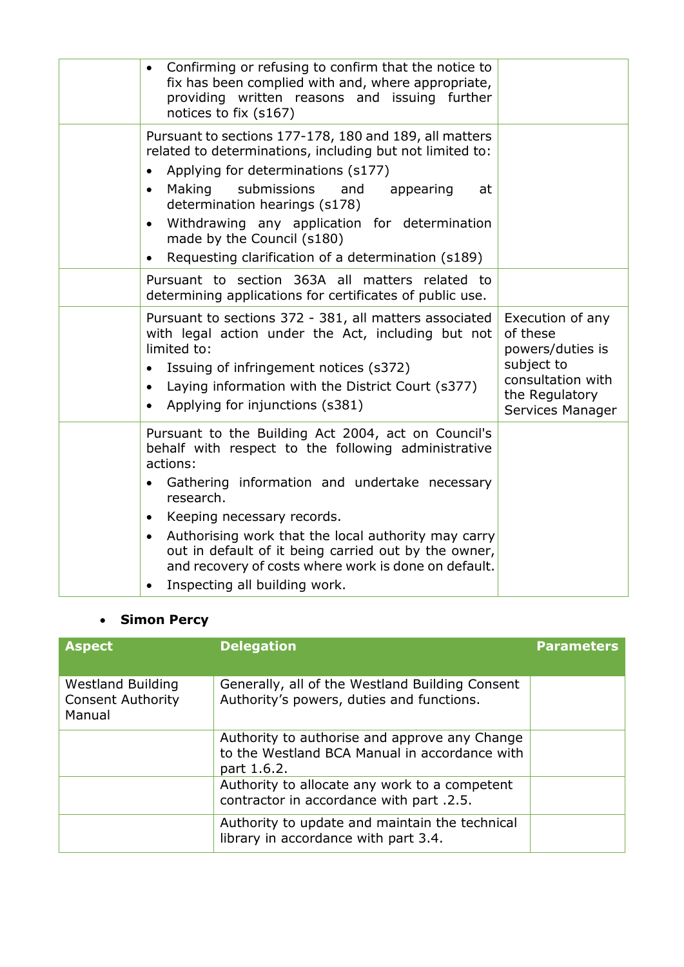| Confirming or refusing to confirm that the notice to<br>$\bullet$<br>fix has been complied with and, where appropriate,<br>providing written reasons and issuing further<br>notices to fix (s167)                                                                                                                                                                                                                                                                              |                                                                                                                           |
|--------------------------------------------------------------------------------------------------------------------------------------------------------------------------------------------------------------------------------------------------------------------------------------------------------------------------------------------------------------------------------------------------------------------------------------------------------------------------------|---------------------------------------------------------------------------------------------------------------------------|
| Pursuant to sections 177-178, 180 and 189, all matters<br>related to determinations, including but not limited to:<br>Applying for determinations (s177)<br>Making<br>submissions<br>and<br>appearing<br>at<br>$\bullet$<br>determination hearings (s178)<br>Withdrawing any application for determination<br>$\bullet$<br>made by the Council (s180)<br>Requesting clarification of a determination (s189)                                                                    |                                                                                                                           |
| Pursuant to section 363A all matters related to<br>determining applications for certificates of public use.                                                                                                                                                                                                                                                                                                                                                                    |                                                                                                                           |
| Pursuant to sections 372 - 381, all matters associated<br>with legal action under the Act, including but not<br>limited to:<br>Issuing of infringement notices (s372)<br>Laying information with the District Court (s377)<br>$\bullet$<br>Applying for injunctions (s381)<br>$\bullet$                                                                                                                                                                                        | Execution of any<br>of these<br>powers/duties is<br>subject to<br>consultation with<br>the Regulatory<br>Services Manager |
| Pursuant to the Building Act 2004, act on Council's<br>behalf with respect to the following administrative<br>actions:<br>Gathering information and undertake necessary<br>$\bullet$<br>research.<br>Keeping necessary records.<br>$\bullet$<br>Authorising work that the local authority may carry<br>$\bullet$<br>out in default of it being carried out by the owner,<br>and recovery of costs where work is done on default.<br>Inspecting all building work.<br>$\bullet$ |                                                                                                                           |

# **Simon Percy**

| <b>Aspect</b>                                                  | <b>Delegation</b>                                                                                             | <b>Parameters</b> |
|----------------------------------------------------------------|---------------------------------------------------------------------------------------------------------------|-------------------|
| <b>Westland Building</b><br><b>Consent Authority</b><br>Manual | Generally, all of the Westland Building Consent<br>Authority's powers, duties and functions.                  |                   |
|                                                                | Authority to authorise and approve any Change<br>to the Westland BCA Manual in accordance with<br>part 1.6.2. |                   |
|                                                                | Authority to allocate any work to a competent<br>contractor in accordance with part .2.5.                     |                   |
|                                                                | Authority to update and maintain the technical<br>library in accordance with part 3.4.                        |                   |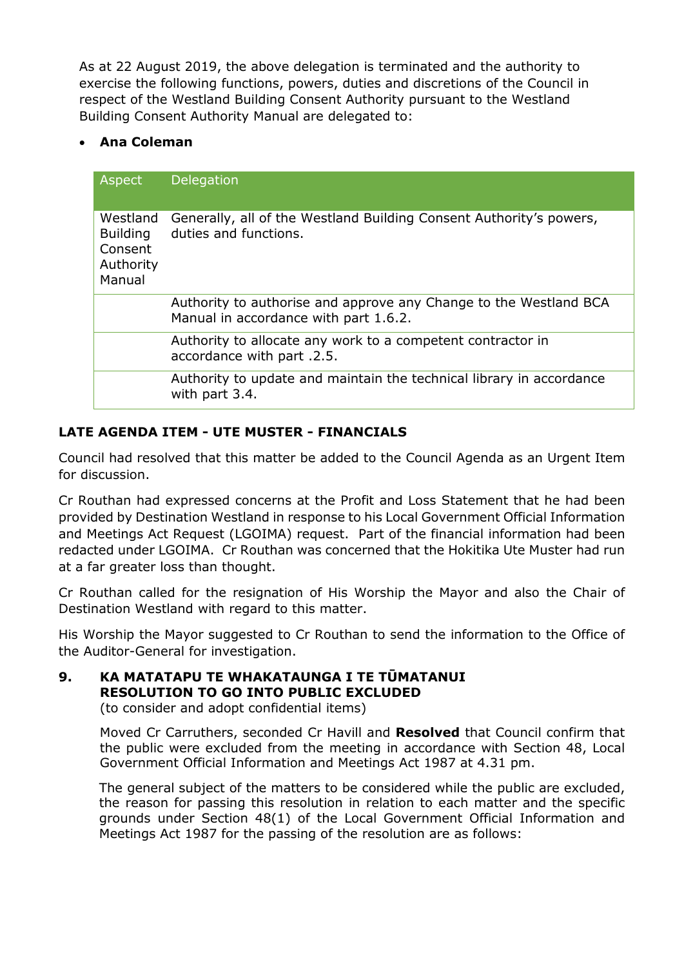As at 22 August 2019, the above delegation is terminated and the authority to exercise the following functions, powers, duties and discretions of the Council in respect of the Westland Building Consent Authority pursuant to the Westland Building Consent Authority Manual are delegated to:

# **Ana Coleman**

| Aspect                                                        | Delegation                                                                                                 |
|---------------------------------------------------------------|------------------------------------------------------------------------------------------------------------|
| Westland<br><b>Building</b><br>Consent<br>Authority<br>Manual | Generally, all of the Westland Building Consent Authority's powers,<br>duties and functions.               |
|                                                               | Authority to authorise and approve any Change to the Westland BCA<br>Manual in accordance with part 1.6.2. |
|                                                               | Authority to allocate any work to a competent contractor in<br>accordance with part .2.5.                  |
|                                                               | Authority to update and maintain the technical library in accordance<br>with part 3.4.                     |

# **LATE AGENDA ITEM - UTE MUSTER - FINANCIALS**

Council had resolved that this matter be added to the Council Agenda as an Urgent Item for discussion.

Cr Routhan had expressed concerns at the Profit and Loss Statement that he had been provided by Destination Westland in response to his Local Government Official Information and Meetings Act Request (LGOIMA) request. Part of the financial information had been redacted under LGOIMA. Cr Routhan was concerned that the Hokitika Ute Muster had run at a far greater loss than thought.

Cr Routhan called for the resignation of His Worship the Mayor and also the Chair of Destination Westland with regard to this matter.

His Worship the Mayor suggested to Cr Routhan to send the information to the Office of the Auditor-General for investigation.

**9. KA MATATAPU TE WHAKATAUNGA I TE TŪMATANUI RESOLUTION TO GO INTO PUBLIC EXCLUDED**

(to consider and adopt confidential items)

Moved Cr Carruthers, seconded Cr Havill and **Resolved** that Council confirm that the public were excluded from the meeting in accordance with Section 48, Local Government Official Information and Meetings Act 1987 at 4.31 pm.

The general subject of the matters to be considered while the public are excluded, the reason for passing this resolution in relation to each matter and the specific grounds under Section 48(1) of the Local Government Official Information and Meetings Act 1987 for the passing of the resolution are as follows: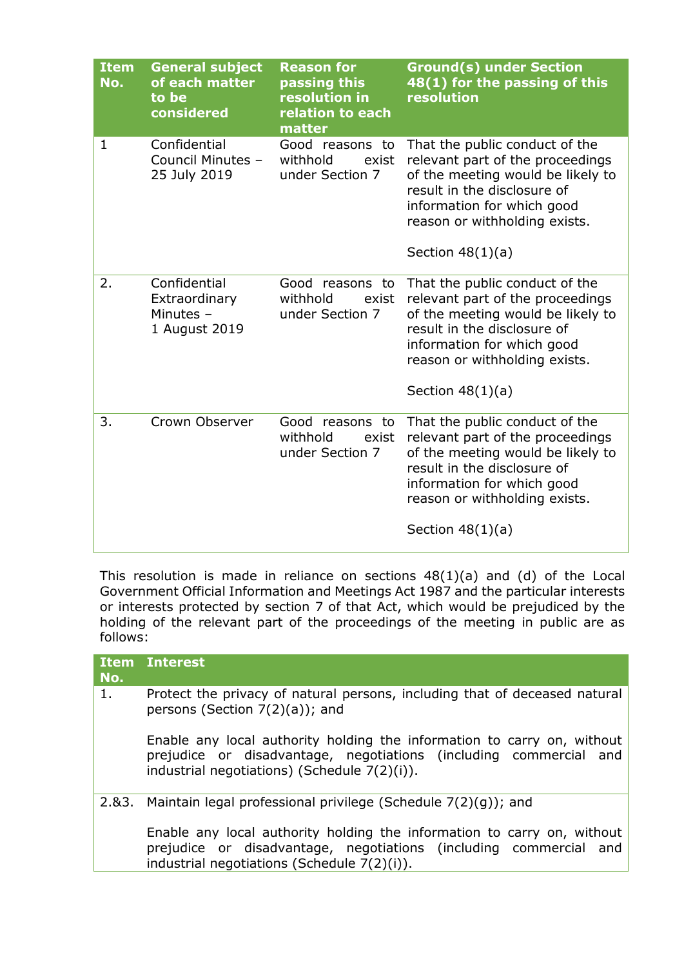| <b>Item</b><br>No. | <b>General subject</b><br>of each matter<br>to be<br>considered | <b>Reason for</b><br>passing this<br>resolution in<br>relation to each<br>matter | <b>Ground(s) under Section</b><br>48(1) for the passing of this<br>resolution                                                                                                                                               |
|--------------------|-----------------------------------------------------------------|----------------------------------------------------------------------------------|-----------------------------------------------------------------------------------------------------------------------------------------------------------------------------------------------------------------------------|
| 1                  | Confidential<br>Council Minutes -<br>25 July 2019               | Good reasons to<br>withhold<br>exist<br>under Section 7                          | That the public conduct of the<br>relevant part of the proceedings<br>of the meeting would be likely to<br>result in the disclosure of<br>information for which good<br>reason or withholding exists.<br>Section $48(1)(a)$ |
| 2.                 | Confidential<br>Extraordinary<br>Minutes $-$<br>1 August 2019   | Good reasons to<br>withhold<br>exist<br>under Section 7                          | That the public conduct of the<br>relevant part of the proceedings<br>of the meeting would be likely to<br>result in the disclosure of<br>information for which good<br>reason or withholding exists.<br>Section $48(1)(a)$ |
| 3.                 | Crown Observer                                                  | Good reasons to<br>withhold<br>exist<br>under Section 7                          | That the public conduct of the<br>relevant part of the proceedings<br>of the meeting would be likely to<br>result in the disclosure of<br>information for which good<br>reason or withholding exists.<br>Section $48(1)(a)$ |

This resolution is made in reliance on sections 48(1)(a) and (d) of the Local Government Official Information and Meetings Act 1987 and the particular interests or interests protected by section 7 of that Act, which would be prejudiced by the holding of the relevant part of the proceedings of the meeting in public are as follows:

| <b>Item</b><br>No. | <b>Interest</b>                                                                                                                                                                                 |
|--------------------|-------------------------------------------------------------------------------------------------------------------------------------------------------------------------------------------------|
| 1.                 | Protect the privacy of natural persons, including that of deceased natural<br>persons (Section $7(2)(a)$ ); and                                                                                 |
|                    | Enable any local authority holding the information to carry on, without<br>prejudice or disadvantage, negotiations (including commercial and<br>industrial negotiations) (Schedule $7(2)(i)$ ). |
| 2.83.              | Maintain legal professional privilege (Schedule $7(2)(q)$ ); and                                                                                                                                |
|                    | Enable any local authority holding the information to carry on, without<br>prejudice or disadvantage, negotiations (including commercial and<br>industrial negotiations (Schedule 7(2)(i)).     |